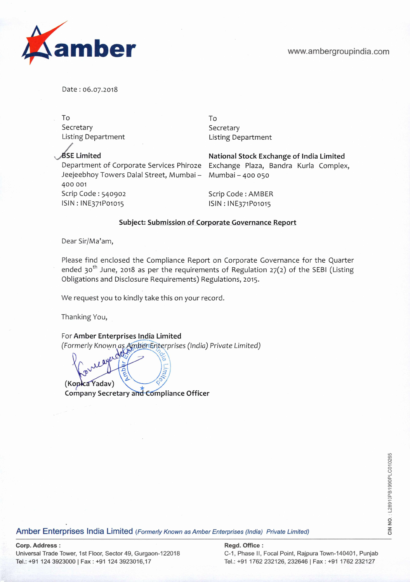

Date: 06.07.2018

To To Secretary Secretary Secretary

Listing Department Listing Department

**SE Limited National Stock Exchange of India Limited**  Jeejeebhoy Towers Dalal Street, Mumbai - Mumbai - 400 050 400 001 Scrip Code: 540902 Scrip Code: AMBER ISIN:lNE371Po1o15 ISIN:lNE371Po1o15

Department of Corporate Services Phiroze Exchange Plaza, Bandra Kurla Complex,

## **Subject: Submission of Corporate Governance Report**

Dear Sir/Ma'am,

Please find enclosed the Compliance Report on Corporate Governance for the Quarter ended 30<sup>th</sup> June, 2018 as per the requirements of Regulation 27(2) of the SEBI (Listing Obligations and Disclosure Requirements) Regulations, 2015.

We request you to kindly take this on your record.

Thanking You,

For **Amber Enterprises India Limited**  (Formerly Known as Amber Enterprises (India) Private Limited)

h) **(Kopica Yadav) Company Secretary and Compliance Officer** 

ege<br>City South Conterprises India Limited (Formerly Known as Amber Enterprises (India) Private Limited)<br>To Separate Conterprises India Limited (Formerly Known as Amber Enterprises (India) Private Limited)

**Corp. Address: Regd. Office: Regd. Office: Regd. Office: Regd. Office: Regd. Office: Regd. Office: Regd.** Office: Universal Trade Tower, 1st Floor, Sector 49, Gurgaon-122018 C-1, Phase II, Focal Point, Rajpura Town-140401, Punjab Tel.: +91 124 3923000 I Fax: +91 124 3923016,17 Tel.: +91 1762 232126, 232646 Fax: +91 1762 232127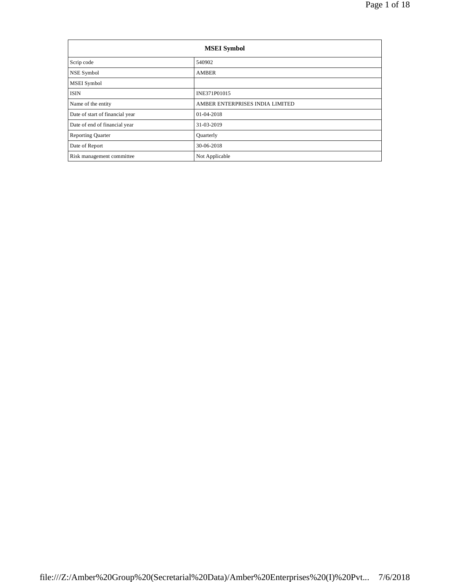| <b>MSEI</b> Symbol              |                                 |  |  |  |  |
|---------------------------------|---------------------------------|--|--|--|--|
| Scrip code                      | 540902                          |  |  |  |  |
| NSE Symbol                      | <b>AMBER</b>                    |  |  |  |  |
| MSEI Symbol                     |                                 |  |  |  |  |
| <b>ISIN</b>                     | INE371P01015                    |  |  |  |  |
| Name of the entity              | AMBER ENTERPRISES INDIA LIMITED |  |  |  |  |
| Date of start of financial year | 01-04-2018                      |  |  |  |  |
| Date of end of financial year   | 31-03-2019                      |  |  |  |  |
| <b>Reporting Quarter</b>        | Quarterly                       |  |  |  |  |
| Date of Report                  | 30-06-2018                      |  |  |  |  |
| Risk management committee       | Not Applicable                  |  |  |  |  |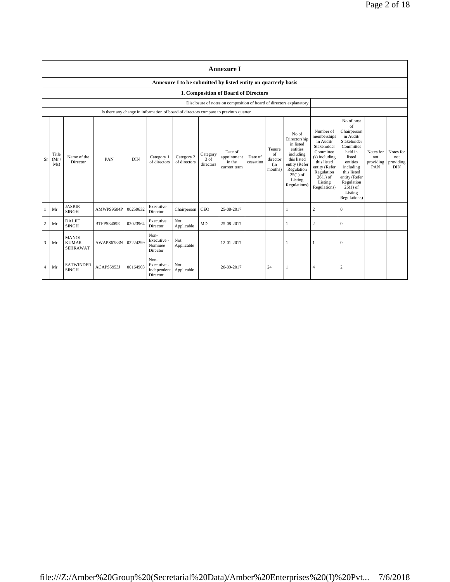|    | <b>Annexure I</b>                                              |                                                 |            |            |                                                |                            |                               |                                                                                      |                      |                                            |                                                                                                                                                    |                                                                                                                                                                           |                                                                                                                                                                                                               |                                      |                                             |
|----|----------------------------------------------------------------|-------------------------------------------------|------------|------------|------------------------------------------------|----------------------------|-------------------------------|--------------------------------------------------------------------------------------|----------------------|--------------------------------------------|----------------------------------------------------------------------------------------------------------------------------------------------------|---------------------------------------------------------------------------------------------------------------------------------------------------------------------------|---------------------------------------------------------------------------------------------------------------------------------------------------------------------------------------------------------------|--------------------------------------|---------------------------------------------|
|    | Annexure I to be submitted by listed entity on quarterly basis |                                                 |            |            |                                                |                            |                               |                                                                                      |                      |                                            |                                                                                                                                                    |                                                                                                                                                                           |                                                                                                                                                                                                               |                                      |                                             |
|    |                                                                |                                                 |            |            |                                                |                            |                               | <b>I. Composition of Board of Directors</b>                                          |                      |                                            |                                                                                                                                                    |                                                                                                                                                                           |                                                                                                                                                                                                               |                                      |                                             |
|    |                                                                |                                                 |            |            |                                                |                            |                               | Disclosure of notes on composition of board of directors explanatory                 |                      |                                            |                                                                                                                                                    |                                                                                                                                                                           |                                                                                                                                                                                                               |                                      |                                             |
|    |                                                                |                                                 |            |            |                                                |                            |                               | Is there any change in information of board of directors compare to previous quarter |                      |                                            |                                                                                                                                                    |                                                                                                                                                                           |                                                                                                                                                                                                               |                                      |                                             |
| Sr | Title<br>(Mr)<br>Ms)                                           | Name of the<br>Director                         | PAN        | <b>DIN</b> | Category 1<br>of directors                     | Category 2<br>of directors | Category<br>3 of<br>directors | Date of<br>appointment<br>in the<br>current term                                     | Date of<br>cessation | Tenure<br>of<br>director<br>(in<br>months) | No of<br>Directorship<br>in listed<br>entities<br>including<br>this listed<br>entity (Refer<br>Regulation<br>$25(1)$ of<br>Listing<br>Regulations) | Number of<br>memberships<br>in Audit/<br>Stakeholder<br>Committee<br>(s) including<br>this listed<br>entity (Refer<br>Regulation<br>$26(1)$ of<br>Listing<br>Regulations) | No of post<br>of<br>Chairperson<br>in Audit/<br>Stakeholder<br>Committee<br>held in<br>listed<br>entities<br>including<br>this listed<br>entity (Refer<br>Regulation<br>$26(1)$ of<br>Listing<br>Regulations) | Notes for<br>not<br>providing<br>PAN | Notes for<br>not<br>providing<br><b>DIN</b> |
|    | Mr                                                             | <b>JASBIR</b><br><b>SINGH</b>                   | AMWPS9504P | 00259632   | Executive<br>Director                          | Chairperson                | CEO                           | 25-08-2017                                                                           |                      |                                            | 1                                                                                                                                                  | $\mathbf{2}$                                                                                                                                                              | $\mathbf{0}$                                                                                                                                                                                                  |                                      |                                             |
| 2  | Mr                                                             | <b>DALJIT</b><br><b>SINGH</b>                   | BTFPS8409E | 02023964   | Executive<br>Director                          | Not<br>Applicable          | MD                            | 25-08-2017                                                                           |                      |                                            | 1                                                                                                                                                  | $\,2$                                                                                                                                                                     | $\mathbf{0}$                                                                                                                                                                                                  |                                      |                                             |
| 3  | Mr                                                             | <b>MANOJ</b><br><b>KUMAR</b><br><b>SEHRAWAT</b> | AWAPS6783N | 02224299   | Non-<br>Executive -<br>Nominee<br>Director     | Not<br>Applicable          |                               | 12-01-2017                                                                           |                      |                                            |                                                                                                                                                    |                                                                                                                                                                           | $\mathbf{0}$                                                                                                                                                                                                  |                                      |                                             |
| 4  | Mr                                                             | <b>SATWINDER</b><br><b>SINGH</b>                | ACAPS5953J | 00164903   | Non-<br>Executive -<br>Independent<br>Director | Not<br>Applicable          |                               | 20-09-2017                                                                           |                      | 24                                         | 1                                                                                                                                                  | $\overline{4}$                                                                                                                                                            | $\boldsymbol{2}$                                                                                                                                                                                              |                                      |                                             |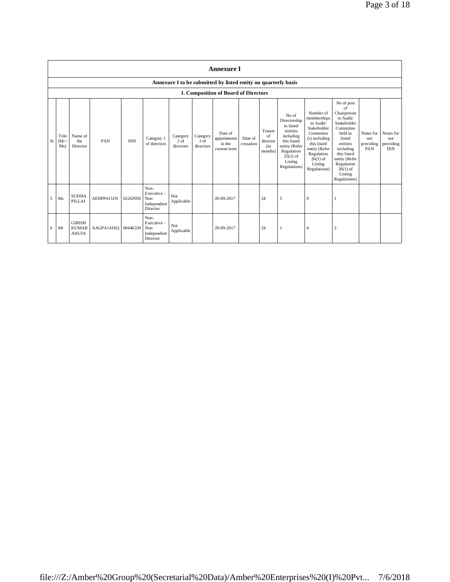|   |                            | <b>Annexure I</b>                                              |                     |            |                                                       |                               |                               |                                                  |                      |                                            |                                                                                                                                                    |                                                                                                                                                                           |                                                                                                                                                                                                               |                                      |                                             |
|---|----------------------------|----------------------------------------------------------------|---------------------|------------|-------------------------------------------------------|-------------------------------|-------------------------------|--------------------------------------------------|----------------------|--------------------------------------------|----------------------------------------------------------------------------------------------------------------------------------------------------|---------------------------------------------------------------------------------------------------------------------------------------------------------------------------|---------------------------------------------------------------------------------------------------------------------------------------------------------------------------------------------------------------|--------------------------------------|---------------------------------------------|
|   |                            | Annexure I to be submitted by listed entity on quarterly basis |                     |            |                                                       |                               |                               |                                                  |                      |                                            |                                                                                                                                                    |                                                                                                                                                                           |                                                                                                                                                                                                               |                                      |                                             |
|   |                            |                                                                |                     |            |                                                       |                               |                               | <b>I. Composition of Board of Directors</b>      |                      |                                            |                                                                                                                                                    |                                                                                                                                                                           |                                                                                                                                                                                                               |                                      |                                             |
|   | Title<br>Sr<br>(Mr)<br>Ms) | Name of<br>the<br>Director                                     | PAN                 | <b>DIN</b> | Category 1<br>of directors                            | Category<br>2 of<br>directors | Category<br>3 of<br>directors | Date of<br>appointment<br>in the<br>current term | Date of<br>cessation | Tenure<br>of<br>director<br>(in<br>months) | No of<br>Directorship<br>in listed<br>entities<br>including<br>this listed<br>entity (Refer<br>Regulation<br>$25(1)$ of<br>Listing<br>Regulations) | Number of<br>memberships<br>in Audit/<br>Stakeholder<br>Committee<br>(s) including<br>this listed<br>entity (Refer<br>Regulation<br>$26(1)$ of<br>Listing<br>Regulations) | No of post<br>of<br>Chairperson<br>in Audit/<br>Stakeholder<br>Committee<br>held in<br>listed<br>entities<br>including<br>this listed<br>entity (Refer<br>Regulation<br>$26(1)$ of<br>Listing<br>Regulations) | Notes for<br>not<br>providing<br>PAN | Notes for<br>not<br>providing<br><b>DIN</b> |
| 5 | Ms                         | <b>SUDHA</b><br>PILLAI                                         | AENPP4151N          | 02263950   | Non-<br>Executive -<br>Non<br>Independent<br>Director | Not<br>Applicable             |                               | 20-09-2017                                       |                      | 24                                         | 5                                                                                                                                                  | 9                                                                                                                                                                         |                                                                                                                                                                                                               |                                      |                                             |
| 6 | Mr                         | <b>GIRISH</b><br><b>KUMAR</b><br><b>AHUJA</b>                  | AAGPA1416Q 00446339 |            | Non-<br>Executive -<br>Non<br>Independent<br>Director | Not<br>Applicable             |                               | 20-09-2017                                       |                      | 24                                         |                                                                                                                                                    | $\overline{4}$                                                                                                                                                            | 3                                                                                                                                                                                                             |                                      |                                             |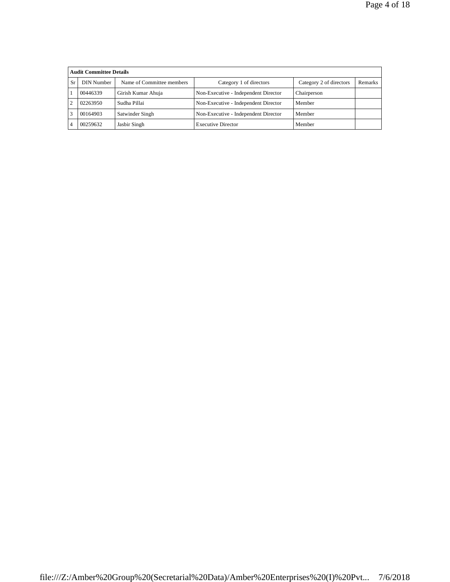|           | <b>Audit Committee Details</b> |                           |                                      |                         |         |  |  |  |
|-----------|--------------------------------|---------------------------|--------------------------------------|-------------------------|---------|--|--|--|
| <b>Sr</b> | DIN Number                     | Name of Committee members | Category 1 of directors              | Category 2 of directors | Remarks |  |  |  |
|           | 00446339                       | Girish Kumar Ahuja        | Non-Executive - Independent Director | Chairperson             |         |  |  |  |
| 2         | 02263950                       | Sudha Pillai              | Non-Executive - Independent Director | Member                  |         |  |  |  |
|           | 00164903                       | Satwinder Singh           | Non-Executive - Independent Director | Member                  |         |  |  |  |
|           | 00259632                       | Jasbir Singh              | <b>Executive Director</b>            | Member                  |         |  |  |  |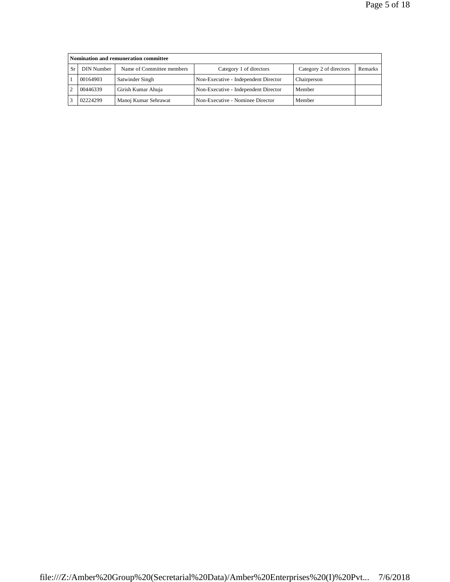| Nomination and remuneration committee |                           |                                      |                         |         |  |  |  |  |
|---------------------------------------|---------------------------|--------------------------------------|-------------------------|---------|--|--|--|--|
| DIN Number                            | Name of Committee members | Category 1 of directors              | Category 2 of directors | Remarks |  |  |  |  |
| 00164903                              | Satwinder Singh           | Non-Executive - Independent Director | Chairperson             |         |  |  |  |  |
| 00446339                              | Girish Kumar Ahuja        | Non-Executive - Independent Director | Member                  |         |  |  |  |  |
| 02224299                              | Manoj Kumar Sehrawat      | Non-Executive - Nominee Director     | Member                  |         |  |  |  |  |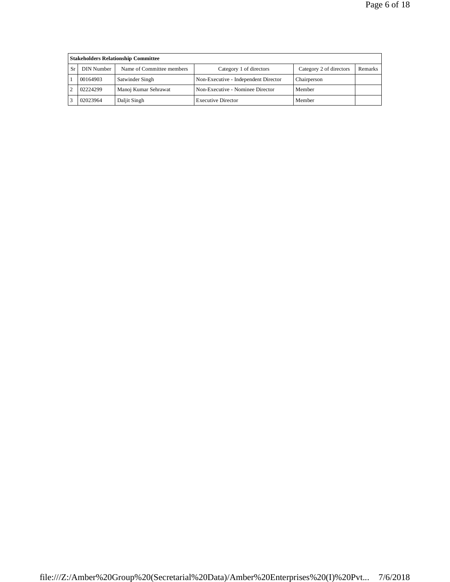|    | <b>Stakeholders Relationship Committee</b> |                           |                                      |                         |         |  |  |  |
|----|--------------------------------------------|---------------------------|--------------------------------------|-------------------------|---------|--|--|--|
| Sr | DIN Number                                 | Name of Committee members | Category 1 of directors              | Category 2 of directors | Remarks |  |  |  |
|    | 00164903                                   | Satwinder Singh           | Non-Executive - Independent Director | Chairperson             |         |  |  |  |
|    | 02224299                                   | Manoj Kumar Sehrawat      | Non-Executive - Nominee Director     | Member                  |         |  |  |  |
|    | 02023964                                   | Daljit Singh              | <b>Executive Director</b>            | Member                  |         |  |  |  |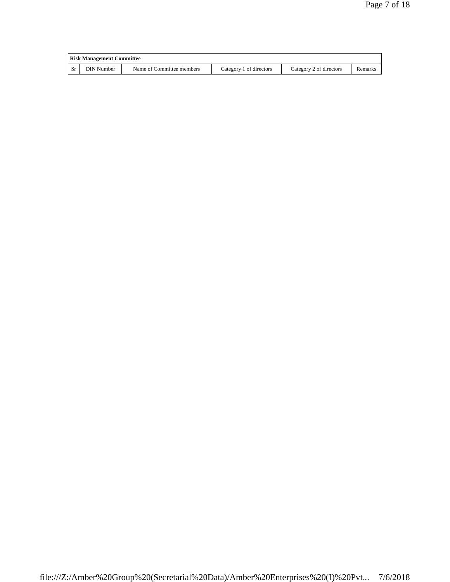| <b>Risk Management Committee</b> |                           |                         |                         |         |  |  |
|----------------------------------|---------------------------|-------------------------|-------------------------|---------|--|--|
| DIN Number                       | Name of Committee members | Category 1 of directors | Category 2 of directors | Remarks |  |  |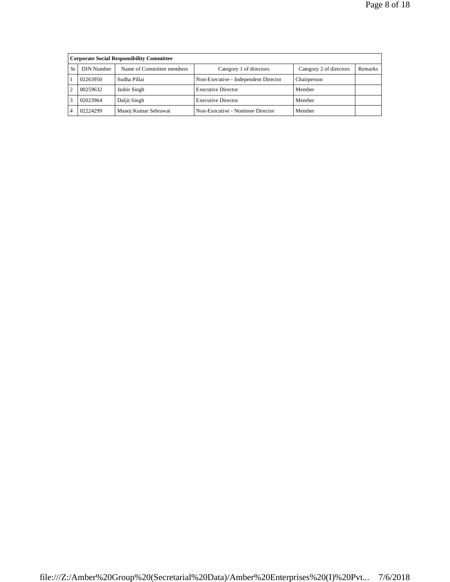|    | <b>Corporate Social Responsibility Committee</b> |                           |                                      |                         |         |  |  |  |
|----|--------------------------------------------------|---------------------------|--------------------------------------|-------------------------|---------|--|--|--|
| Sr | DIN Number                                       | Name of Committee members | Category 1 of directors              | Category 2 of directors | Remarks |  |  |  |
|    | 02263950                                         | Sudha Pillai              | Non-Executive - Independent Director | Chairperson             |         |  |  |  |
|    | 00259632                                         | Jasbir Singh              | <b>Executive Director</b>            | Member                  |         |  |  |  |
|    | 02023964                                         | Daljit Singh              | <b>Executive Director</b>            | Member                  |         |  |  |  |
|    | 02224299                                         | Manoj Kumar Sehrawat      | Non-Executive - Nominee Director     | Member                  |         |  |  |  |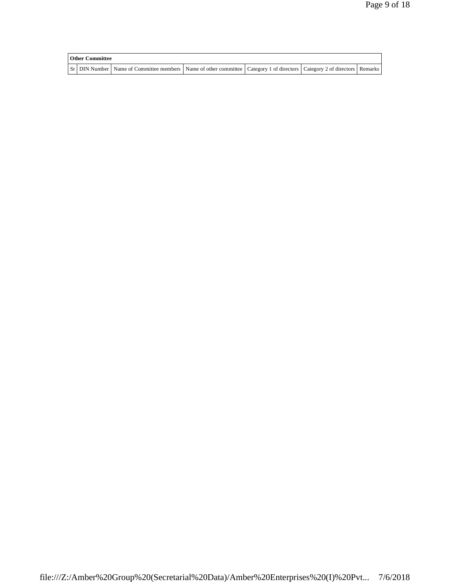| <b>Other Committee</b> |                                                                                                                                     |  |  |
|------------------------|-------------------------------------------------------------------------------------------------------------------------------------|--|--|
|                        | Sr   DIN Number   Name of Committee members   Name of other committee   Category 1 of directors   Category 2 of directors   Remarks |  |  |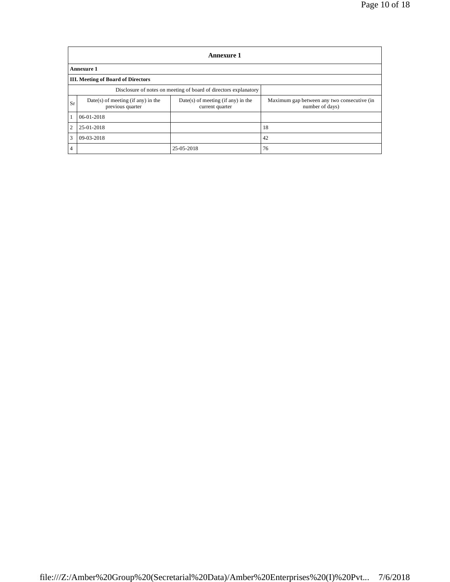|                | <b>Annexure 1</b>                                                |                                                         |                                                                |  |  |  |  |  |
|----------------|------------------------------------------------------------------|---------------------------------------------------------|----------------------------------------------------------------|--|--|--|--|--|
|                | Annexure 1                                                       |                                                         |                                                                |  |  |  |  |  |
|                | <b>III. Meeting of Board of Directors</b>                        |                                                         |                                                                |  |  |  |  |  |
|                | Disclosure of notes on meeting of board of directors explanatory |                                                         |                                                                |  |  |  |  |  |
| Sr             | $Date(s)$ of meeting (if any) in the<br>previous quarter         | $Date(s)$ of meeting (if any) in the<br>current quarter | Maximum gap between any two consecutive (in<br>number of days) |  |  |  |  |  |
|                | 06-01-2018                                                       |                                                         |                                                                |  |  |  |  |  |
| $\overline{2}$ | 25-01-2018                                                       |                                                         | 18                                                             |  |  |  |  |  |
| $\overline{3}$ | 09-03-2018                                                       |                                                         | 42                                                             |  |  |  |  |  |
| $\overline{4}$ |                                                                  | 25-05-2018                                              | 76                                                             |  |  |  |  |  |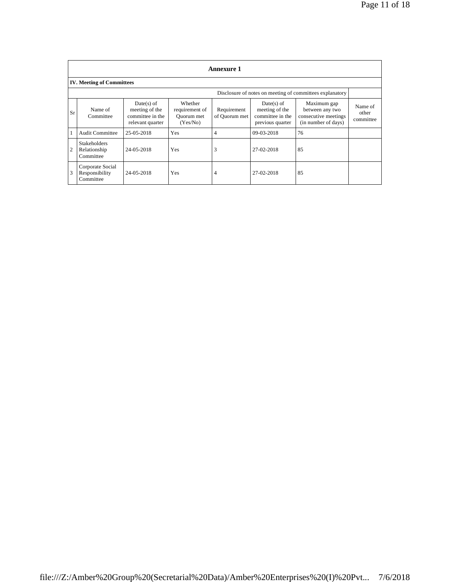|              | Annexure 1                                       |                                                                        |                                                     |                              |                                                                      |                                                                               |                               |
|--------------|--------------------------------------------------|------------------------------------------------------------------------|-----------------------------------------------------|------------------------------|----------------------------------------------------------------------|-------------------------------------------------------------------------------|-------------------------------|
|              | <b>IV. Meeting of Committees</b>                 |                                                                        |                                                     |                              |                                                                      |                                                                               |                               |
|              |                                                  |                                                                        |                                                     |                              |                                                                      | Disclosure of notes on meeting of committees explanatory                      |                               |
| Sr           | Name of<br>Committee                             | $Date(s)$ of<br>meeting of the<br>committee in the<br>relevant quarter | Whether<br>requirement of<br>Quorum met<br>(Yes/No) | Requirement<br>of Quorum met | Date(s) of<br>meeting of the<br>committee in the<br>previous quarter | Maximum gap<br>between any two<br>consecutive meetings<br>(in number of days) | Name of<br>other<br>committee |
| $\mathbf{1}$ | <b>Audit Committee</b>                           | 25-05-2018                                                             | Yes                                                 | 4                            | 09-03-2018                                                           | 76                                                                            |                               |
| 2            | <b>Stakeholders</b><br>Relationship<br>Committee | 24-05-2018                                                             | Yes                                                 | 3                            | 27-02-2018                                                           | 85                                                                            |                               |
| 3            | Corporate Social<br>Responsibility<br>Committee  | 24-05-2018                                                             | Yes                                                 | 4                            | 27-02-2018                                                           | 85                                                                            |                               |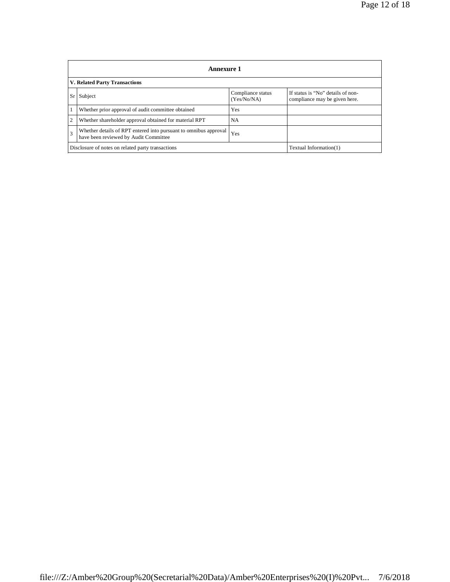|                | Annexure 1                                                                                                |                                  |                                                                    |  |  |  |  |  |
|----------------|-----------------------------------------------------------------------------------------------------------|----------------------------------|--------------------------------------------------------------------|--|--|--|--|--|
|                | V. Related Party Transactions                                                                             |                                  |                                                                    |  |  |  |  |  |
| -Sr l          | Subject                                                                                                   | Compliance status<br>(Yes/No/NA) | If status is "No" details of non-<br>compliance may be given here. |  |  |  |  |  |
|                | Whether prior approval of audit committee obtained                                                        | Yes                              |                                                                    |  |  |  |  |  |
| $\overline{c}$ | Whether shareholder approval obtained for material RPT                                                    | <b>NA</b>                        |                                                                    |  |  |  |  |  |
| 3              | Whether details of RPT entered into pursuant to omnibus approval<br>have been reviewed by Audit Committee | Yes                              |                                                                    |  |  |  |  |  |
|                | Disclosure of notes on related party transactions                                                         |                                  | Textual Information(1)                                             |  |  |  |  |  |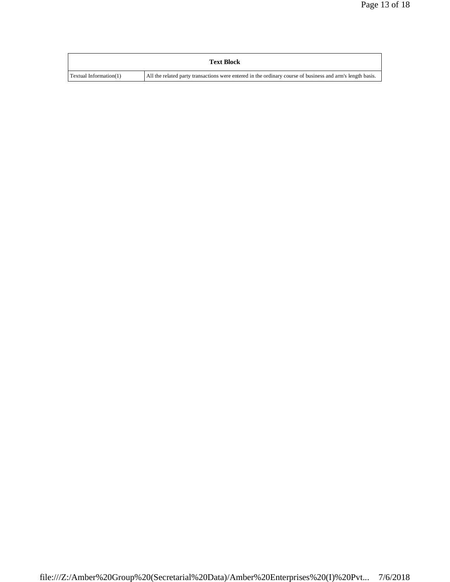| <b>Text Block</b>      |                                                                                                            |
|------------------------|------------------------------------------------------------------------------------------------------------|
| Textual Information(1) | All the related party transactions were entered in the ordinary course of business and arm's length basis. |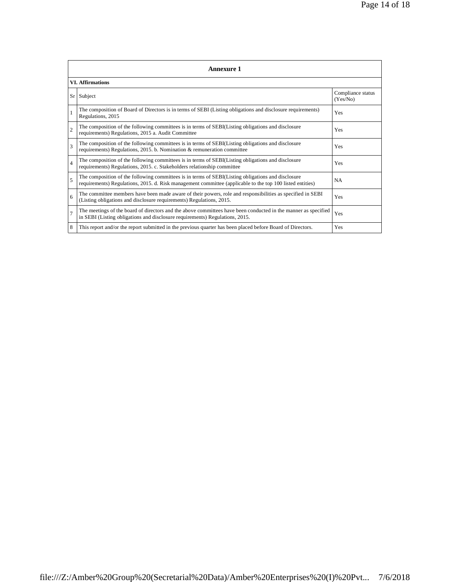| <b>Annexure 1</b>       |                                                                                                                                                                                                                 |                               |  |  |
|-------------------------|-----------------------------------------------------------------------------------------------------------------------------------------------------------------------------------------------------------------|-------------------------------|--|--|
| <b>VI.</b> Affirmations |                                                                                                                                                                                                                 |                               |  |  |
|                         | Sr Subject                                                                                                                                                                                                      | Compliance status<br>(Yes/No) |  |  |
|                         | The composition of Board of Directors is in terms of SEBI (Listing obligations and disclosure requirements)<br>Regulations, 2015                                                                                | Yes                           |  |  |
| $\overline{2}$          | The composition of the following committees is in terms of SEBI(Listing obligations and disclosure<br>requirements) Regulations, 2015 a. Audit Committee                                                        | Yes                           |  |  |
| $\mathcal{R}$           | The composition of the following committees is in terms of SEBI(Listing obligations and disclosure<br>requirements) Regulations, 2015. b. Nomination & remuneration committee                                   | Yes                           |  |  |
| $\overline{4}$          | The composition of the following committees is in terms of SEBI(Listing obligations and disclosure<br>requirements) Regulations, 2015. c. Stakeholders relationship committee                                   | Yes                           |  |  |
| $\overline{5}$          | The composition of the following committees is in terms of SEBI(Listing obligations and disclosure<br>requirements) Regulations, 2015. d. Risk management committee (applicable to the top 100 listed entities) | <b>NA</b>                     |  |  |
| 6                       | The committee members have been made aware of their powers, role and responsibilities as specified in SEBI<br>(Listing obligations and disclosure requirements) Regulations, 2015.                              | Yes                           |  |  |
| $\overline{7}$          | The meetings of the board of directors and the above committees have been conducted in the manner as specified<br>in SEBI (Listing obligations and disclosure requirements) Regulations, 2015.                  | Yes                           |  |  |
| 8                       | This report and/or the report submitted in the previous quarter has been placed before Board of Directors.                                                                                                      | Yes                           |  |  |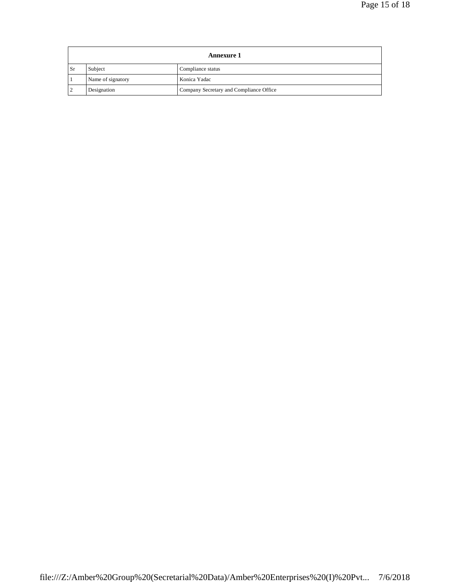|      | <b>Annexure 1</b> |                                         |  |  |
|------|-------------------|-----------------------------------------|--|--|
| . Sr | Subject           | Compliance status                       |  |  |
|      | Name of signatory | Konica Yadac                            |  |  |
|      | Designation       | Company Secretary and Compliance Office |  |  |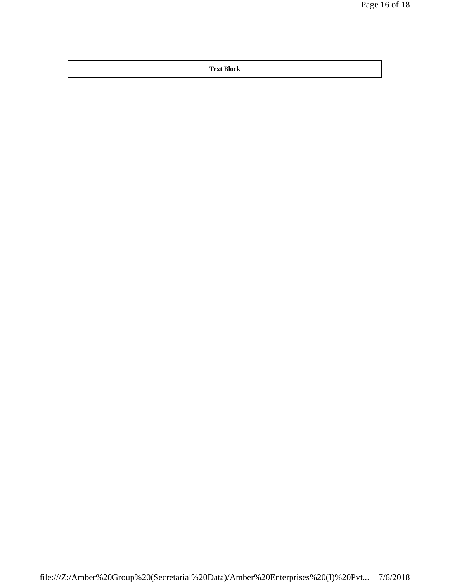**Text Block**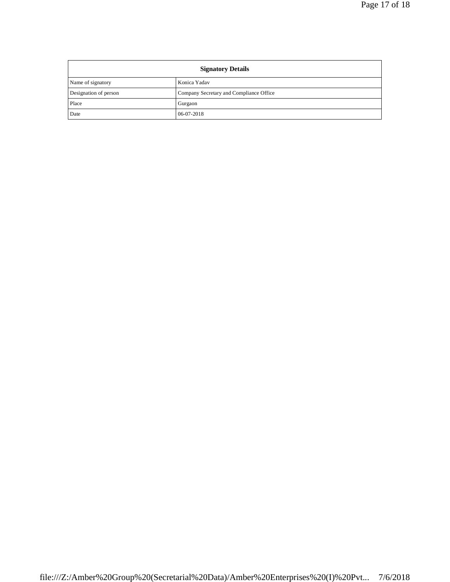| <b>Signatory Details</b> |                                         |  |
|--------------------------|-----------------------------------------|--|
| Name of signatory        | Konica Yadav                            |  |
| Designation of person    | Company Secretary and Compliance Office |  |
| Place                    | Gurgaon                                 |  |
| Date                     | 06-07-2018                              |  |